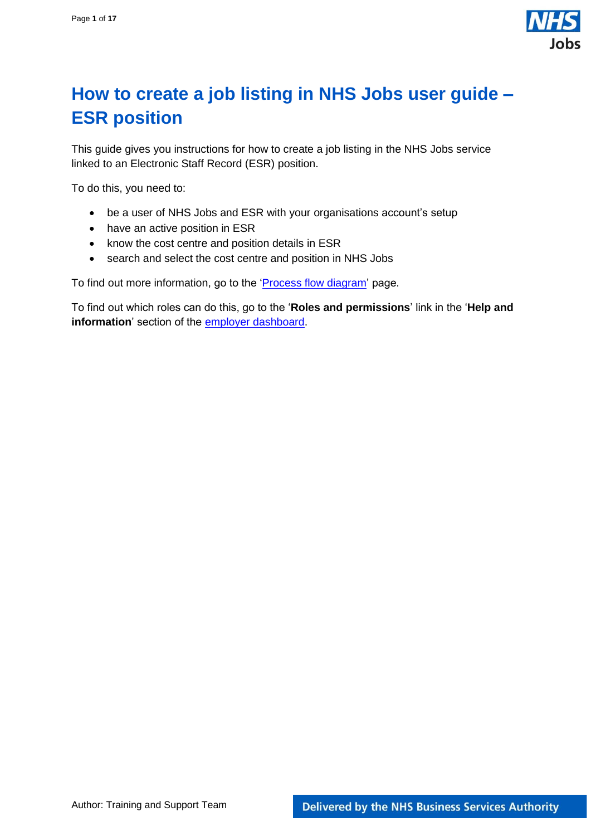

# <span id="page-0-0"></span>**How to create a job listing in NHS Jobs user guide – ESR position**

This guide gives you instructions for how to create a job listing in the NHS Jobs service linked to an Electronic Staff Record (ESR) position.

To do this, you need to:

- be a user of NHS Jobs and ESR with your organisations account's setup
- have an active position in ESR
- know the cost centre and position details in ESR
- search and select the cost centre and position in NHS Jobs

To find out more information, go to the ['Process flow diagram'](#page-2-0) page.

To find out which roles can do this, go to the '**Roles and permissions**' link in the '**Help and information**' section of the [employer dashboard.](https://beta.jobs.nhs.uk/home)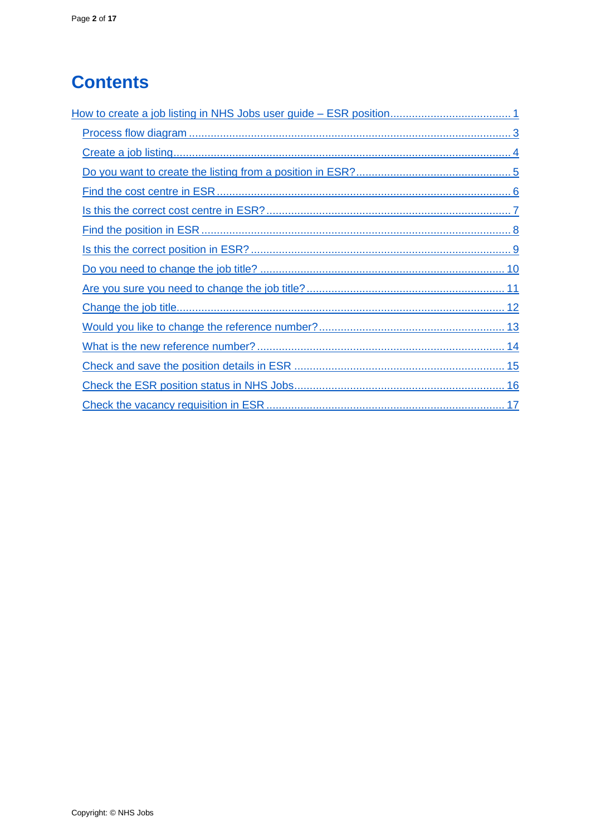# **Contents**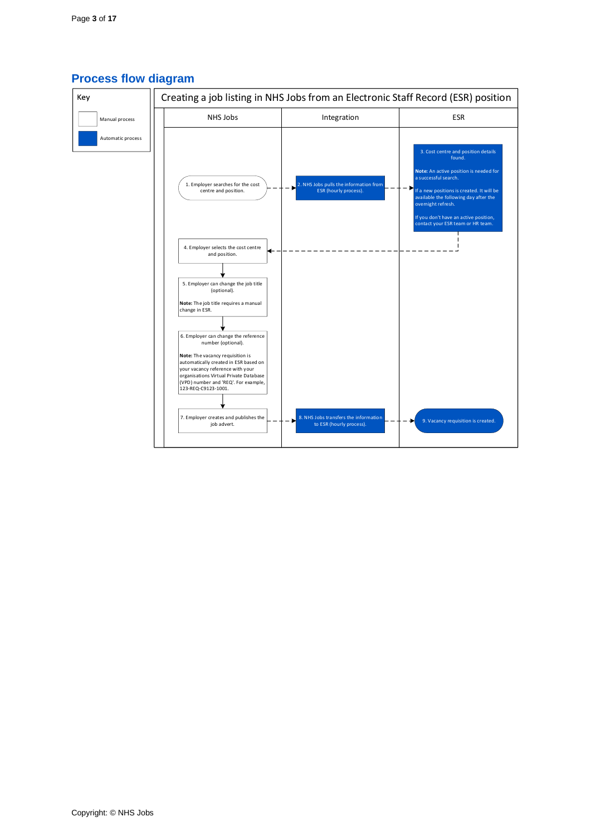

#### <span id="page-2-0"></span>**Process flow diagram**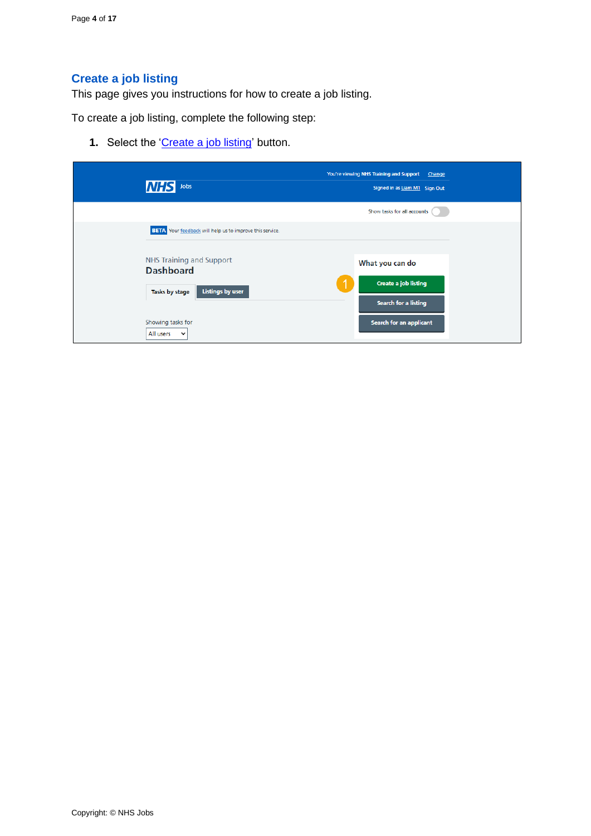## <span id="page-3-0"></span>**Create a job listing**

This page gives you instructions for how to create a job listing.

To create a job listing, complete the following step:

**1.** Select the ['Create a job listing'](#page-4-0) button.

| Jobs<br><b>NHS</b>                                                                               | You're viewing NHS Training and Support<br>Change<br>Signed in as Liam M1 Sign Out |
|--------------------------------------------------------------------------------------------------|------------------------------------------------------------------------------------|
|                                                                                                  | Show tasks for all accounts                                                        |
| <b>BETA</b> Your feedback will help us to improve this service.                                  |                                                                                    |
| <b>NHS Training and Support</b><br><b>Dashboard</b><br><b>Listings by user</b><br>Tasks by stage | What you can do<br><b>Create a job listing</b><br><b>Search for a listing</b>      |
| Showing tasks for<br>All users<br>$\checkmark$                                                   | Search for an applicant                                                            |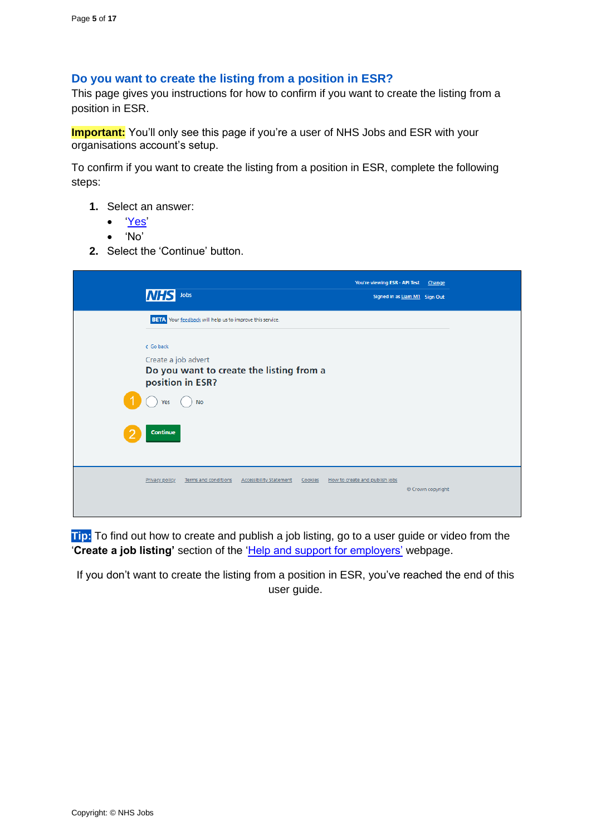#### <span id="page-4-0"></span>**Do you want to create the listing from a position in ESR?**

This page gives you instructions for how to confirm if you want to create the listing from a position in ESR.

**Important:** You'll only see this page if you're a user of NHS Jobs and ESR with your organisations account's setup.

To confirm if you want to create the listing from a position in ESR, complete the following steps:

- **1.** Select an answer:
	- ['Yes'](#page-5-0)
	- 'No'
- **2.** Select the 'Continue' button.

| INH            | Jobs                                                                                |                                |         | You're viewing ESR - API Test Change<br>Signed in as Liam M1 Sign Out |                   |  |
|----------------|-------------------------------------------------------------------------------------|--------------------------------|---------|-----------------------------------------------------------------------|-------------------|--|
|                | <b>BETA</b> Your feedback will help us to improve this service.                     |                                |         |                                                                       |                   |  |
| < Go back      |                                                                                     |                                |         |                                                                       |                   |  |
|                | Create a job advert<br>Do you want to create the listing from a<br>position in ESR? |                                |         |                                                                       |                   |  |
| <b>Yes</b>     | <b>No</b>                                                                           |                                |         |                                                                       |                   |  |
| Continue       |                                                                                     |                                |         |                                                                       |                   |  |
| Privacy policy | Terms and conditions                                                                | <b>Accessibility Statement</b> | Cookies | How to create and publish jobs                                        | © Crown copyright |  |

**Tip:** To find out how to create and publish a job listing, go to a user guide or video from the '**Create a job listing'** section of the ['Help and support for employers'](https://www.nhsbsa.nhs.uk/new-nhs-jobs-service/help-and-support-employers) webpage.

If you don't want to create the listing from a position in ESR, you've reached the end of this user guide.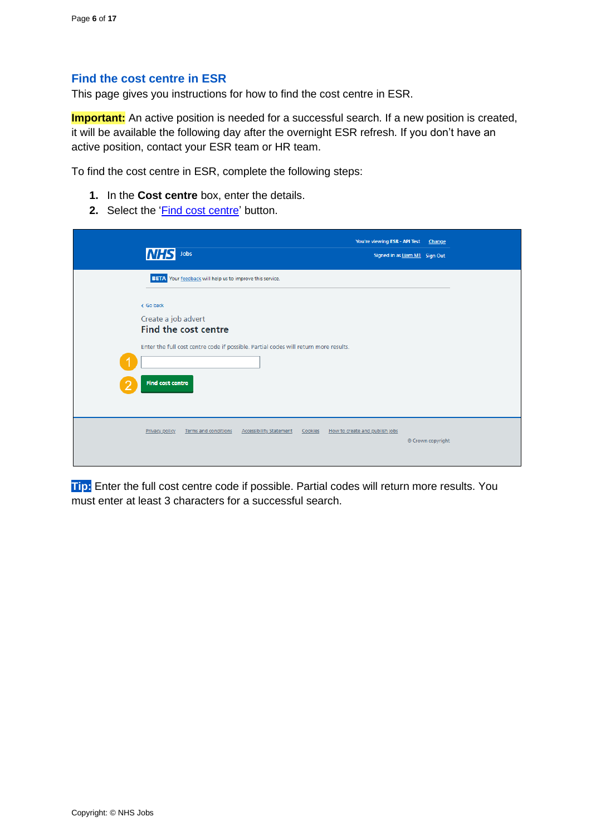#### <span id="page-5-0"></span>**Find the cost centre in ESR**

This page gives you instructions for how to find the cost centre in ESR.

**Important:** An active position is needed for a successful search. If a new position is created, it will be available the following day after the overnight ESR refresh. If you don't have an active position, contact your ESR team or HR team.

To find the cost centre in ESR, complete the following steps:

- **1.** In the **Cost centre** box, enter the details.
- 2. Select the '*Find cost centre'* button.

| Jobs<br>INH                                                                          | You're viewing ESR - API Test Change<br>Signed in as Liam M1 Sign Out |  |
|--------------------------------------------------------------------------------------|-----------------------------------------------------------------------|--|
| <b>BETA</b> Your feedback will help us to improve this service.                      |                                                                       |  |
| < Go back                                                                            |                                                                       |  |
| Create a job advert<br>Find the cost centre                                          |                                                                       |  |
| Enter the full cost centre code if possible. Partial codes will return more results. |                                                                       |  |
|                                                                                      |                                                                       |  |
| <b>Find cost centre</b>                                                              |                                                                       |  |
|                                                                                      |                                                                       |  |
| Privacy policy<br>Terms and conditions<br><b>Accessibility Statement</b>             | Cookies How to create and publish jobs<br>© Crown copyright           |  |
|                                                                                      |                                                                       |  |

**Tip:** Enter the full cost centre code if possible. Partial codes will return more results. You must enter at least 3 characters for a successful search.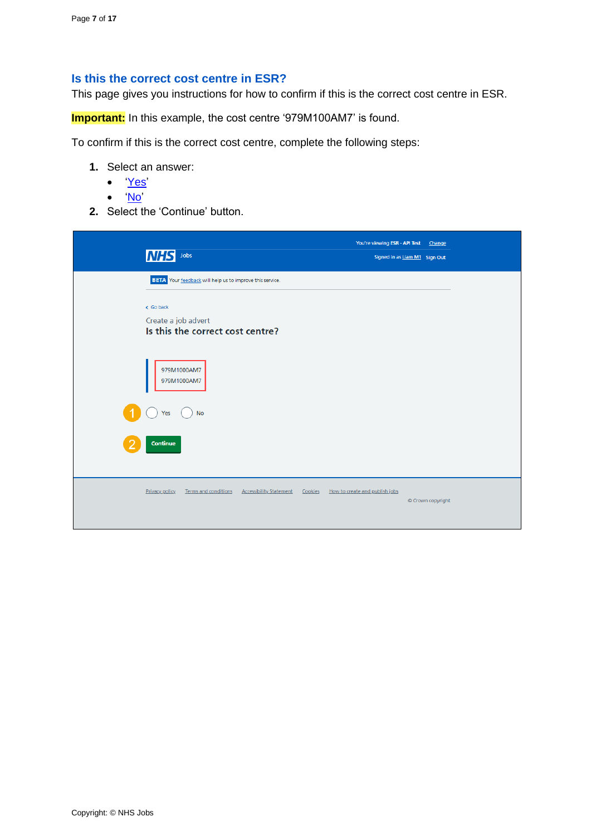#### <span id="page-6-0"></span>**Is this the correct cost centre in ESR?**

This page gives you instructions for how to confirm if this is the correct cost centre in ESR.

**Important:** In this example, the cost centre '979M100AM7' is found.

To confirm if this is the correct cost centre, complete the following steps:

- **1.** Select an answer:
	- ['Yes'](#page-7-0)
	- ['No'](#page-5-0)
- **2.** Select the 'Continue' button.

| <b>NHS</b> Jobs                                                                 | You're viewing ESR - API Test Change<br>Signed in as Liam M1 Sign Out |
|---------------------------------------------------------------------------------|-----------------------------------------------------------------------|
| BETA Your feedback will help us to improve this service.                        |                                                                       |
| < Go back<br>Create a job advert<br>Is this the correct cost centre?            |                                                                       |
| 979M1000AM7<br>979M1000AM7                                                      |                                                                       |
| <b>No</b><br>Yes                                                                |                                                                       |
| Continue                                                                        |                                                                       |
| <b>Privacy policy</b><br>Terms and conditions<br><b>Accessibility Statement</b> | How to create and publish jobs<br>Cookies<br>© Crown copyright        |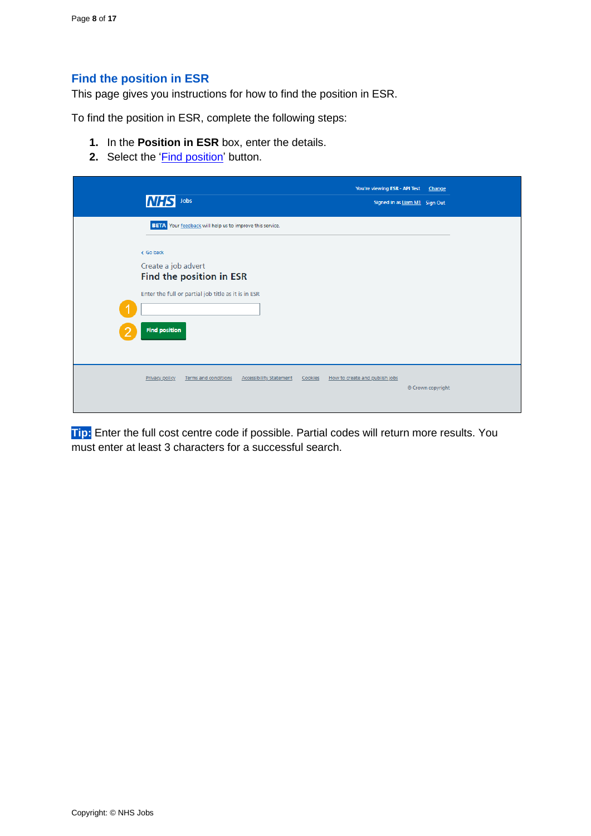### <span id="page-7-0"></span>**Find the position in ESR**

This page gives you instructions for how to find the position in ESR.

To find the position in ESR, complete the following steps:

- **1.** In the **Position in ESR** box, enter the details.
- 2. Select the '*Find position'* button.

| <b>BETA</b> Your feedback will help us to improve this service.<br>< Go back<br>Create a job advert<br>Find the position in ESR<br>Enter the full or partial job title as it is in ESR<br><b>Find position</b><br>Terms and conditions<br><b>Accessibility Statement</b><br>How to create and publish jobs<br><b>Privacy policy</b><br>Cookies<br>© Crown copyright | <b>NHS</b><br>Jobs |  | You're viewing ESR - API Test<br>Signed in as Liam M1 Sign Out | Change |
|---------------------------------------------------------------------------------------------------------------------------------------------------------------------------------------------------------------------------------------------------------------------------------------------------------------------------------------------------------------------|--------------------|--|----------------------------------------------------------------|--------|
|                                                                                                                                                                                                                                                                                                                                                                     |                    |  |                                                                |        |
|                                                                                                                                                                                                                                                                                                                                                                     |                    |  |                                                                |        |
|                                                                                                                                                                                                                                                                                                                                                                     |                    |  |                                                                |        |

**Tip:** Enter the full cost centre code if possible. Partial codes will return more results. You must enter at least 3 characters for a successful search.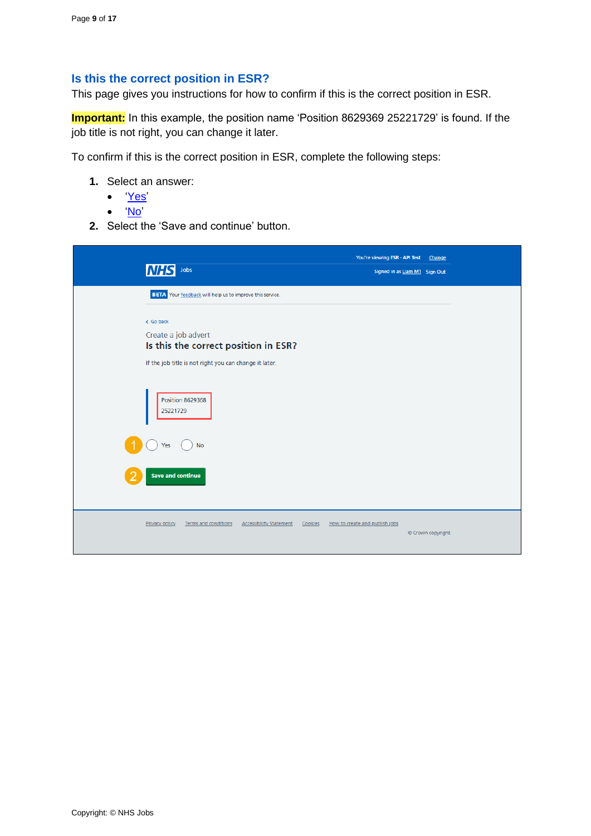#### <span id="page-8-0"></span>**Is this the correct position in ESR?**

This page gives you instructions for how to confirm if this is the correct position in ESR.

**Important:** In this example, the position name 'Position 8629369 25221729' is found. If the job title is not right, you can change it later.

To confirm if this is the correct position in ESR, complete the following steps:

- **1.** Select an answer:
	- ['Yes'](#page-9-0)
	- ['No'](#page-7-0)
- **2.** Select the 'Save and continue' button.

| Jobs<br><b>NHS</b>                                                                                                                 | You're viewing ESR - API Test<br>Change<br>Signed in as Liam M1 Sign Out |
|------------------------------------------------------------------------------------------------------------------------------------|--------------------------------------------------------------------------|
| <b>BETA</b> Your feedback will help us to improve this service.                                                                    |                                                                          |
| < Go back<br>Create a job advert<br>Is this the correct position in ESR?<br>If the job title is not right you can change it later. |                                                                          |
| <b>Position 8629368</b><br>25221729                                                                                                |                                                                          |
| <b>No</b><br>Yes<br><b>Save and continue</b>                                                                                       |                                                                          |
| Terms and conditions<br><b>Accessibility Statement</b><br><b>Privacy policy</b>                                                    | How to create and publish jobs<br>Cookies<br>© Crown copyright           |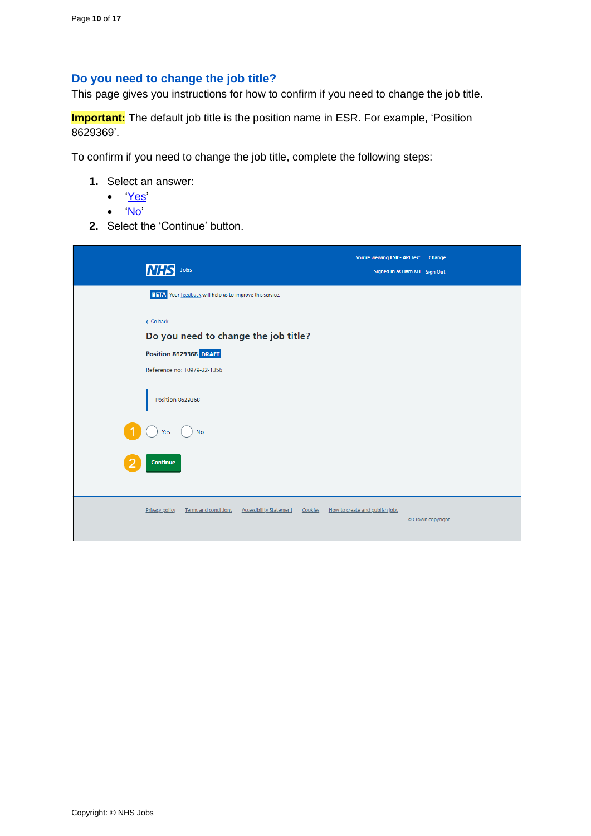#### <span id="page-9-0"></span>**Do you need to change the job title?**

This page gives you instructions for how to confirm if you need to change the job title.

**Important:** The default job title is the position name in ESR. For example, 'Position 8629369'.

To confirm if you need to change the job title, complete the following steps:

- **1.** Select an answer:
	- ['Yes'](#page-10-0)
	- ['No'](#page-12-0)
- **2.** Select the 'Continue' button.

| <b>NHS</b><br>Jobs                                                                  | You're viewing ESR - API Test Change<br>Signed in as Liam M1 Sign Out |
|-------------------------------------------------------------------------------------|-----------------------------------------------------------------------|
| <b>BETA</b> Your feedback will help us to improve this service.                     |                                                                       |
| < Go back<br>Do you need to change the job title?                                   |                                                                       |
| Position 8629368 DRAFT                                                              |                                                                       |
| Reference no: T0979-22-1356                                                         |                                                                       |
| <b>Position 8629368</b>                                                             |                                                                       |
| <b>No</b><br>Yes                                                                    |                                                                       |
| Continue                                                                            |                                                                       |
| Privacy policy<br>Terms and conditions<br><b>Accessibility Statement</b><br>Cookies | How to create and publish jobs<br>© Crown copyright                   |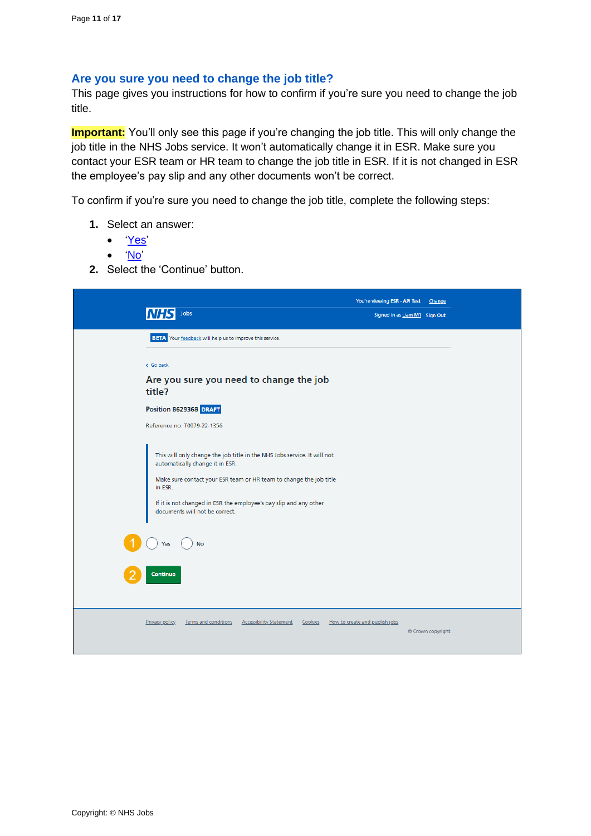#### <span id="page-10-0"></span>**Are you sure you need to change the job title?**

This page gives you instructions for how to confirm if you're sure you need to change the job title.

**Important:** You'll only see this page if you're changing the job title. This will only change the job title in the NHS Jobs service. It won't automatically change it in ESR. Make sure you contact your ESR team or HR team to change the job title in ESR. If it is not changed in ESR the employee's pay slip and any other documents won't be correct.

To confirm if you're sure you need to change the job title, complete the following steps:

- **1.** Select an answer:
	- ['Yes'](#page-11-0)
	- ['No'](#page-12-0)
- **2.** Select the 'Continue' button.

| Jobs                                                                                                                                                                                                                                                                                                                                | You're viewing ESR - API Test<br>Signed in as Liam M1 Sign Out | Change            |
|-------------------------------------------------------------------------------------------------------------------------------------------------------------------------------------------------------------------------------------------------------------------------------------------------------------------------------------|----------------------------------------------------------------|-------------------|
| BETA Your feedback will help us to improve this service.                                                                                                                                                                                                                                                                            |                                                                |                   |
| < Go back                                                                                                                                                                                                                                                                                                                           |                                                                |                   |
| Are you sure you need to change the job<br>title?                                                                                                                                                                                                                                                                                   |                                                                |                   |
| Position 8629368 DRAFT                                                                                                                                                                                                                                                                                                              |                                                                |                   |
| Reference no: T0979-22-1356                                                                                                                                                                                                                                                                                                         |                                                                |                   |
| This will only change the job title in the NHS Jobs service. It will not<br>automatically change it in ESR.<br>Make sure contact your ESR team or HR team to change the job title<br>in ESR.<br>If it is not changed in ESR the employee's pay slip and any other<br>documents will not be correct.<br><b>No</b><br>Yes<br>Continue |                                                                |                   |
| Terms and conditions<br><b>Accessibility Statement</b><br>Privacy policy<br>Cookies                                                                                                                                                                                                                                                 | How to create and publish jobs                                 | © Crown copyright |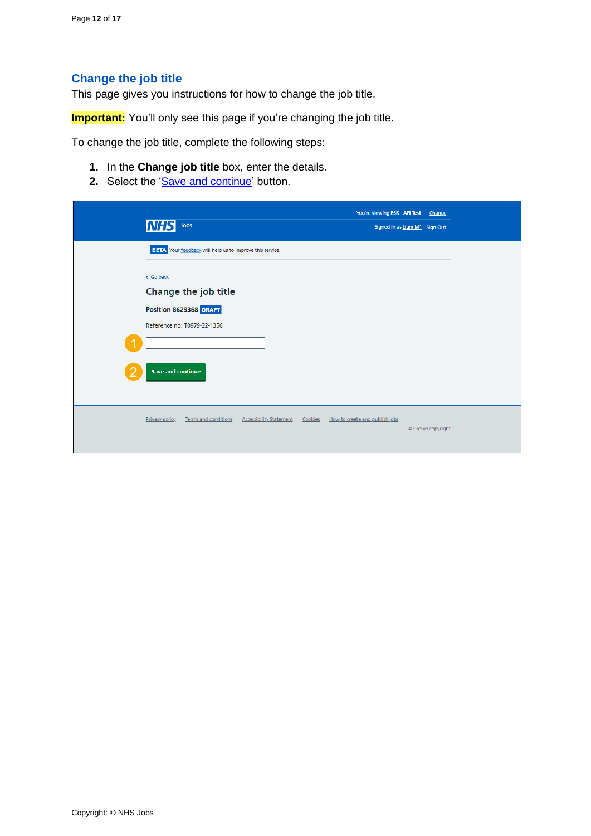### <span id="page-11-0"></span>**Change the job title**

This page gives you instructions for how to change the job title.

**Important:** You'll only see this page if you're changing the job title.

To change the job title, complete the following steps:

- **1.** In the **Change job title** box, enter the details.
- 2. Select the ['Save and continue'](#page-12-0) button.

| <b>NHS</b><br>Jobs                                                                         |                                |         | You're viewing ESR - API Test Change<br>Signed in as Liam M1 Sign Out |                   |
|--------------------------------------------------------------------------------------------|--------------------------------|---------|-----------------------------------------------------------------------|-------------------|
| BETA Your feedback will help us to improve this service.                                   |                                |         |                                                                       |                   |
| < Go back<br>Change the job title<br>Position 8629368 DRAFT<br>Reference no: T0979-22-1356 |                                |         |                                                                       |                   |
| Save and continue                                                                          |                                |         |                                                                       |                   |
| Privacy policy<br><b>Terms and conditions</b>                                              | <b>Accessibility Statement</b> | Cookies | How to create and publish jobs                                        | © Crown copyright |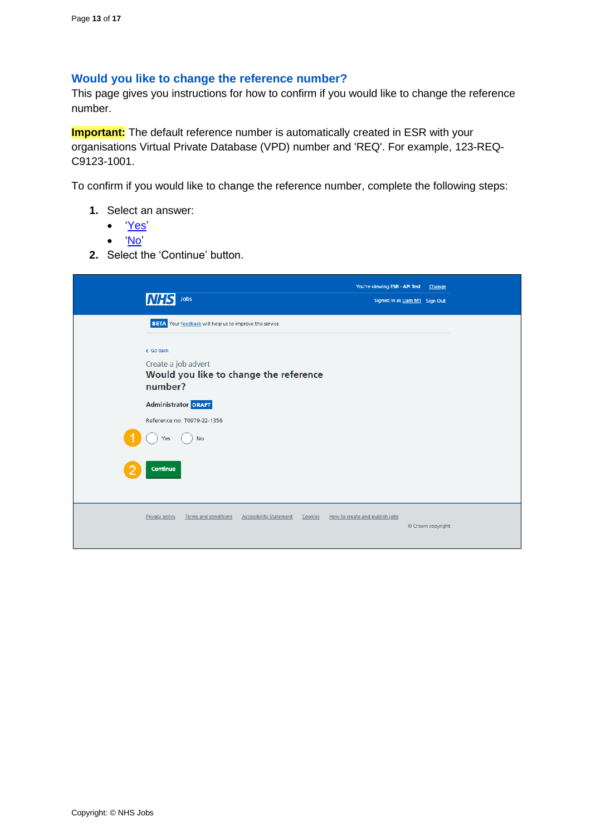#### <span id="page-12-0"></span>**Would you like to change the reference number?**

This page gives you instructions for how to confirm if you would like to change the reference number.

**Important:** The default reference number is automatically created in ESR with your organisations Virtual Private Database (VPD) number and 'REQ'. For example, 123-REQ-C9123-1001.

To confirm if you would like to change the reference number, complete the following steps:

- **1.** Select an answer:
	- ['Yes'](#page-13-0)
	- ['No'](#page-14-0)
- **2.** Select the 'Continue' button.

| <b>INHS</b><br>Jobs                                                                   | You're viewing ESR - API Test Change<br>Signed in as Liam M1 Sign Out |                   |
|---------------------------------------------------------------------------------------|-----------------------------------------------------------------------|-------------------|
| BETA Your feedback will help us to improve this service.                              |                                                                       |                   |
| < Go back<br>Create a job advert<br>Would you like to change the reference<br>number? |                                                                       |                   |
| <b>Administrator DRAFT</b>                                                            |                                                                       |                   |
| Reference no: T0979-22-1356                                                           |                                                                       |                   |
| <b>No</b><br>Yes                                                                      |                                                                       |                   |
| Continue                                                                              |                                                                       |                   |
| Privacy policy<br>Terms and conditions<br><b>Accessibility Statement</b><br>Cookies   | How to create and publish jobs                                        | © Crown copyright |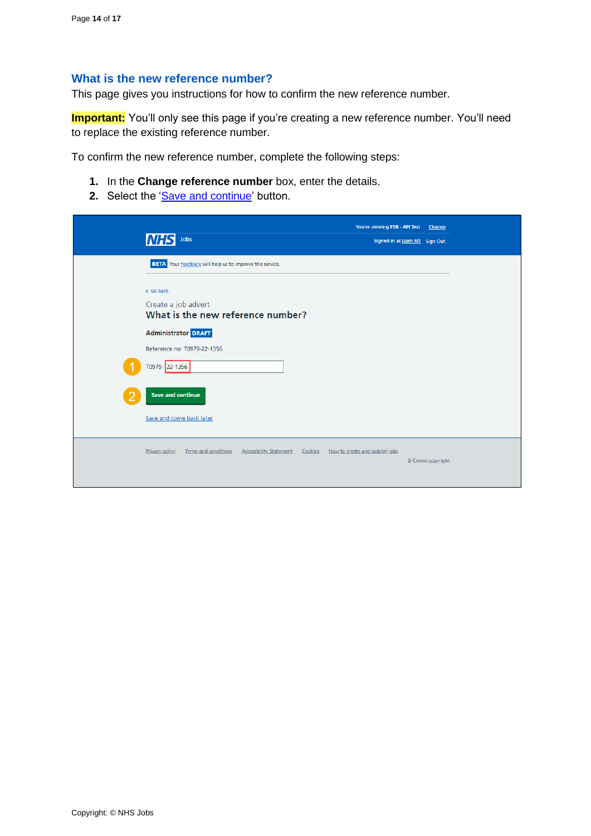#### <span id="page-13-0"></span>**What is the new reference number?**

This page gives you instructions for how to confirm the new reference number.

**Important:** You'll only see this page if you're creating a new reference number. You'll need to replace the existing reference number.

To confirm the new reference number, complete the following steps:

- **1.** In the **Change reference number** box, enter the details.
- 2. Select the ['Save and continue'](#page-14-0) button.

| <b>NHS</b><br>Jobs                                                                  | You're viewing ESR - API Test Change<br>Signed in as Liam M1 Sign Out |                   |
|-------------------------------------------------------------------------------------|-----------------------------------------------------------------------|-------------------|
| <b>BETA</b> Your feedback will help us to improve this service.                     |                                                                       |                   |
| < Go back<br>Create a job advert<br>What is the new reference number?               |                                                                       |                   |
| <b>Administrator DRAFT</b>                                                          |                                                                       |                   |
| Reference no: T0979-22-1356                                                         |                                                                       |                   |
| T0979-22-1356                                                                       |                                                                       |                   |
| <b>Save and continue</b>                                                            |                                                                       |                   |
| Save and come back later                                                            |                                                                       |                   |
| Privacy policy<br>Terms and conditions<br><b>Accessibility Statement</b><br>Cookies | How to create and publish jobs                                        | © Crown copyright |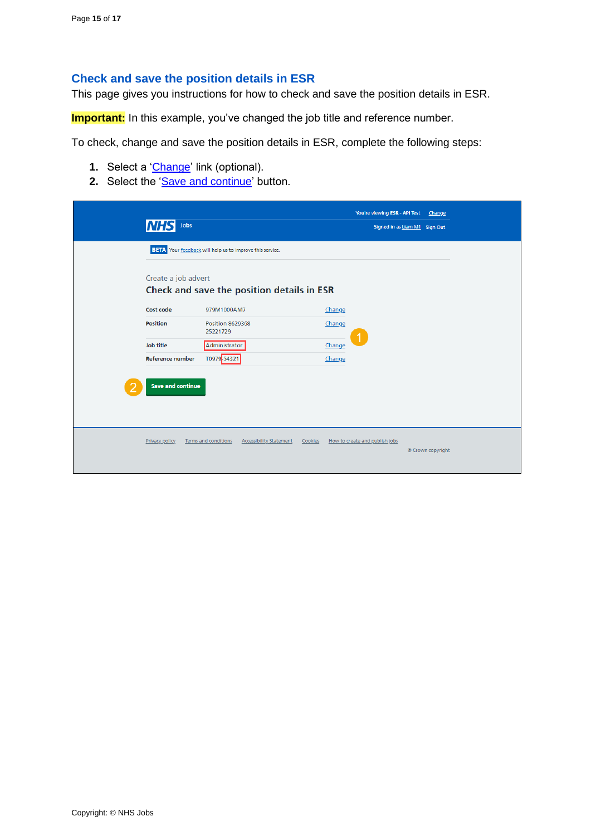#### <span id="page-14-0"></span>**Check and save the position details in ESR**

This page gives you instructions for how to check and save the position details in ESR.

**Important:** In this example, you've changed the job title and reference number.

To check, change and save the position details in ESR, complete the following steps:

- **1.** Select a '*Change'* link (optional).
- 2. Select the ['Save and continue'](#page-15-0) button.

| Jobs                     |                                                                   |                                           | You're viewing ESR - API Test Change<br>Signed in as Liam M1 Sign Out |  |  |  |  |
|--------------------------|-------------------------------------------------------------------|-------------------------------------------|-----------------------------------------------------------------------|--|--|--|--|
|                          | <b>BETA</b> Your feedback will help us to improve this service.   |                                           |                                                                       |  |  |  |  |
|                          | Create a job advert<br>Check and save the position details in ESR |                                           |                                                                       |  |  |  |  |
| Cost code                | 979M1000AM7                                                       | Change                                    |                                                                       |  |  |  |  |
| Position                 | <b>Position 8629368</b><br>25221729                               | Change                                    |                                                                       |  |  |  |  |
| <b>Job title</b>         | Administrator                                                     | Change                                    |                                                                       |  |  |  |  |
| Reference number         | T0979 54321                                                       | Change                                    |                                                                       |  |  |  |  |
| <b>Save and continue</b> |                                                                   |                                           |                                                                       |  |  |  |  |
| Privacy policy           | Terms and conditions<br><b>Accessibility Statement</b>            | How to create and publish jobs<br>Cookies | © Crown copyright                                                     |  |  |  |  |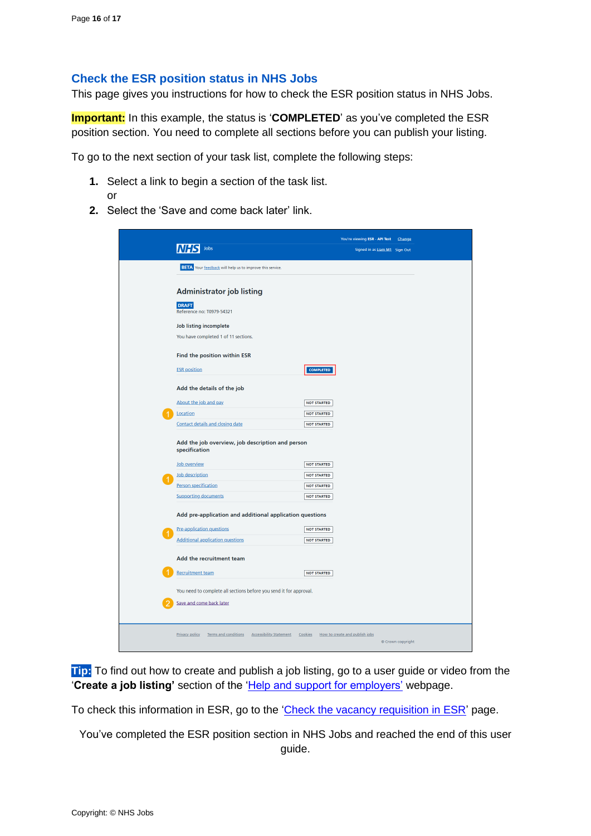#### <span id="page-15-0"></span>**Check the ESR position status in NHS Jobs**

This page gives you instructions for how to check the ESR position status in NHS Jobs.

**Important:** In this example, the status is '**COMPLETED**' as you've completed the ESR position section. You need to complete all sections before you can publish your listing.

To go to the next section of your task list, complete the following steps:

- **1.** Select a link to begin a section of the task list. or
- **2.** Select the 'Save and come back later' link.

|   |                                                                                                | You're viewing ESR - API Test Change                |  |  |  |
|---|------------------------------------------------------------------------------------------------|-----------------------------------------------------|--|--|--|
|   | Jobs                                                                                           | Signed in as Liam M1 Sign Out                       |  |  |  |
|   | <b>BETA</b> Your feedback will help us to improve this service.                                |                                                     |  |  |  |
|   |                                                                                                |                                                     |  |  |  |
|   | <b>Administrator job listing</b>                                                               |                                                     |  |  |  |
|   | <b>DRAFT</b><br>Reference no: T0979-54321                                                      |                                                     |  |  |  |
|   |                                                                                                |                                                     |  |  |  |
|   | <b>Job listing incomplete</b><br>You have completed 1 of 11 sections.                          |                                                     |  |  |  |
|   |                                                                                                |                                                     |  |  |  |
|   | Find the position within ESR                                                                   |                                                     |  |  |  |
|   | <b>ESR</b> position                                                                            | <b>COMPLETED</b>                                    |  |  |  |
|   | Add the details of the job                                                                     |                                                     |  |  |  |
|   | About the job and pay                                                                          | <b>NOT STARTED</b>                                  |  |  |  |
|   | Location                                                                                       | <b>NOT STARTED</b>                                  |  |  |  |
|   | Contact details and closing date                                                               | <b>NOT STARTED</b>                                  |  |  |  |
|   | Add the job overview, job description and person                                               |                                                     |  |  |  |
|   | specification                                                                                  |                                                     |  |  |  |
|   | Job overview                                                                                   | <b>NOT STARTED</b>                                  |  |  |  |
| 1 | Job description                                                                                | <b>NOT STARTED</b>                                  |  |  |  |
|   | Person specification<br><b>Supporting documents</b>                                            | <b>NOT STARTED</b><br><b>NOT STARTED</b>            |  |  |  |
|   |                                                                                                |                                                     |  |  |  |
|   | Add pre-application and additional application questions                                       |                                                     |  |  |  |
| 1 | Pre-application questions                                                                      | <b>NOT STARTED</b>                                  |  |  |  |
|   | <b>Additional application questions</b>                                                        | <b>NOT STARTED</b>                                  |  |  |  |
|   | Add the recruitment team                                                                       |                                                     |  |  |  |
|   | <b>Recruitment team</b>                                                                        | <b>NOT STARTED</b>                                  |  |  |  |
|   |                                                                                                |                                                     |  |  |  |
|   | You need to complete all sections before you send it for approval.<br>Save and come back later |                                                     |  |  |  |
|   |                                                                                                |                                                     |  |  |  |
|   |                                                                                                |                                                     |  |  |  |
|   | Privacy policy<br>Terms and conditions  Accessibility Statement  Cookies                       | How to create and publish jobs<br>© Crown copyright |  |  |  |
|   |                                                                                                |                                                     |  |  |  |

**Tip:** To find out how to create and publish a job listing, go to a user guide or video from the '**Create a job listing'** section of the ['Help and support for employers'](https://www.nhsbsa.nhs.uk/new-nhs-jobs-service/help-and-support-employers) webpage.

To check this information in ESR, go to the ['Check the vacancy requisition in ESR'](#page-16-0) page.

You've completed the ESR position section in NHS Jobs and reached the end of this user guide.